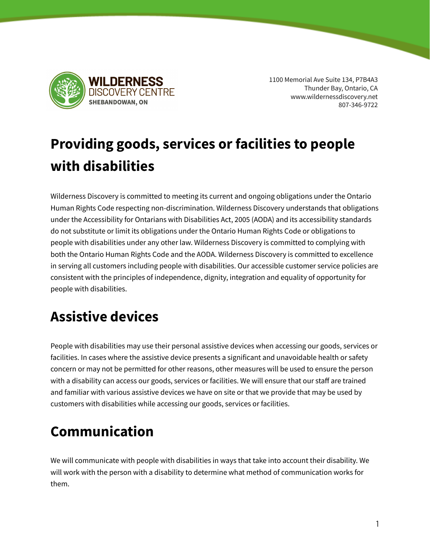

1100 Memorial Ave Suite 134, P7B4A3 Thunder Bay, Ontario, CA www.wildernessdiscovery.net 807-346-9722

# **Providing goods, services or facilities to people with disabilities**

Wilderness Discovery is committed to meeting its current and ongoing obligations under the Ontario Human Rights Code respecting non-discrimination. Wilderness Discovery understands that obligations under the Accessibility for Ontarians with Disabilities Act, 2005 (AODA) and its accessibility standards do not substitute or limit its obligations under the Ontario Human Rights Code or obligations to people with disabilities under any other law. Wilderness Discovery is committed to complying with both the Ontario Human Rights Code and the AODA. Wilderness Discovery is committed to excellence in serving all customers including people with disabilities. Our accessible customer service policies are consistent with the principles of independence, dignity, integration and equality of opportunity for people with disabilities.

## **Assistive devices**

People with disabilities may use their personal assistive devices when accessing our goods, services or facilities. In cases where the assistive device presents a significant and unavoidable health or safety concern or may not be permitted for other reasons, other measures will be used to ensure the person with a disability can access our goods, services or facilities. We will ensure that our staff are trained and familiar with various assistive devices we have on site or that we provide that may be used by customers with disabilities while accessing our goods, services or facilities.

# **Communication**

We will communicate with people with disabilities in ways that take into account their disability. We will work with the person with a disability to determine what method of communication works for them.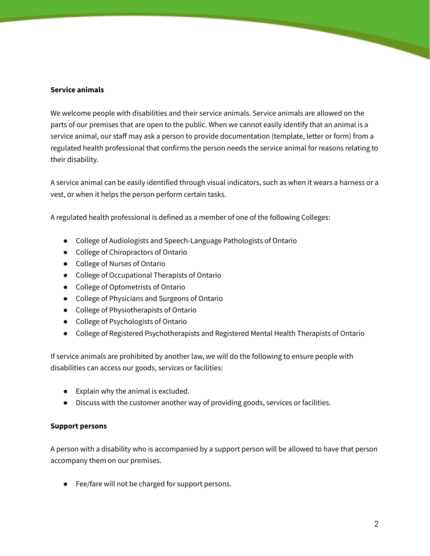#### **Service animals**

We welcome people with disabilities and their service animals. Service animals are allowed on the parts of our premises that are open to the public. When we cannot easily identify that an animal is a service animal, our staff may ask a person to provide documentation (template, letter or form) from a regulated health professional that confirms the person needs the service animal for reasons relating to their disability.

A service animal can be easily identified through visual indicators, such as when it wears a harness or a vest, or when it helps the person perform certain tasks.

A regulated health professional is defined as a member of one of the following Colleges:

- College of Audiologists and Speech-Language Pathologists of Ontario
- College of Chiropractors of Ontario
- College of Nurses of Ontario
- College of Occupational Therapists of Ontario
- College of Optometrists of Ontario
- College of Physicians and Surgeons of Ontario
- College of Physiotherapists of Ontario
- College of Psychologists of Ontario
- College of Registered Psychotherapists and Registered Mental Health Therapists of Ontario

If service animals are prohibited by another law, we will do the following to ensure people with disabilities can access our goods, services or facilities:

- Explain why the animal is excluded.
- Discuss with the customer another way of providing goods, services or facilities.

#### **Support persons**

A person with a disability who is accompanied by a support person will be allowed to have that person accompany them on our premises.

● Fee/fare will not be charged for support persons.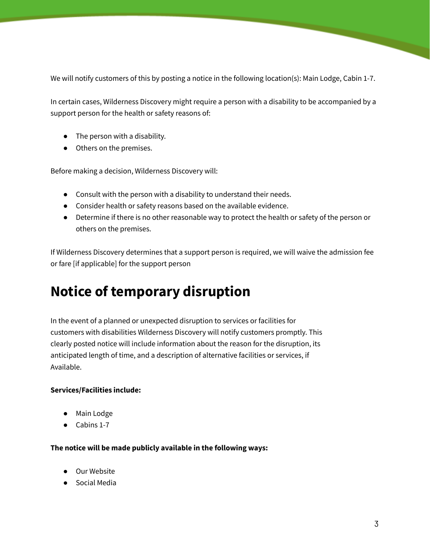We will notify customers of this by posting a notice in the following location(s): Main Lodge, Cabin 1-7.

In certain cases, Wilderness Discovery might require a person with a disability to be accompanied by a support person for the health or safety reasons of:

- The person with a disability.
- Others on the premises.

Before making a decision, Wilderness Discovery will:

- Consult with the person with a disability to understand their needs.
- Consider health or safety reasons based on the available evidence.
- Determine if there is no other reasonable way to protect the health or safety of the person or others on the premises.

If Wilderness Discovery determines that a support person is required, we will waive the admission fee or fare [if applicable] for the support person

### **Notice of temporary disruption**

In the event of a planned or unexpected disruption to services or facilities for customers with disabilities Wilderness Discovery will notify customers promptly. This clearly posted notice will include information about the reason for the disruption, its anticipated length of time, and a description of alternative facilities or services, if Available.

#### **Services/Facilities include:**

- Main Lodge
- Cabins 1-7

#### **The notice will be made publicly available in the following ways:**

- Our Website
- Social Media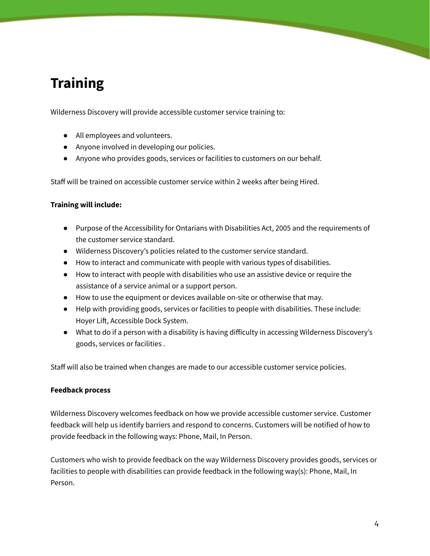# **Training**

Wilderness Discovery will provide accessible customer service training to:

- All employees and volunteers.
- Anyone involved in developing our policies.
- Anyone who provides goods, services or facilities to customers on our behalf.

Staff will be trained on accessible customer service within 2 weeks after being Hired.

### **Training will include:**

- Purpose of the Accessibility for Ontarians with Disabilities Act, 2005 and the requirements of the customer service standard.
- Wilderness Discovery's policies related to the customer service standard.
- How to interact and communicate with people with various types of disabilities.
- How to interact with people with disabilities who use an assistive device or require the assistance of a service animal or a support person.
- How to use the equipment or devices available on-site or otherwise that may.
- Help with providing goods, services or facilities to people with disabilities. These include: Hoyer Lift, Accessible Dock System.
- What to do if a person with a disability is having difficulty in accessing Wilderness Discovery's goods, services or facilities .

Staff will also be trained when changes are made to our accessible customer service policies.

### **Feedback process**

Wilderness Discovery welcomes feedback on how we provide accessible customer service. Customer feedback will help us identify barriers and respond to concerns. Customers will be notified of how to provide feedback in the following ways: Phone, Mail, In Person.

Customers who wish to provide feedback on the way Wilderness Discovery provides goods, services or facilities to people with disabilities can provide feedback in the following way(s): Phone, Mail, In Person.